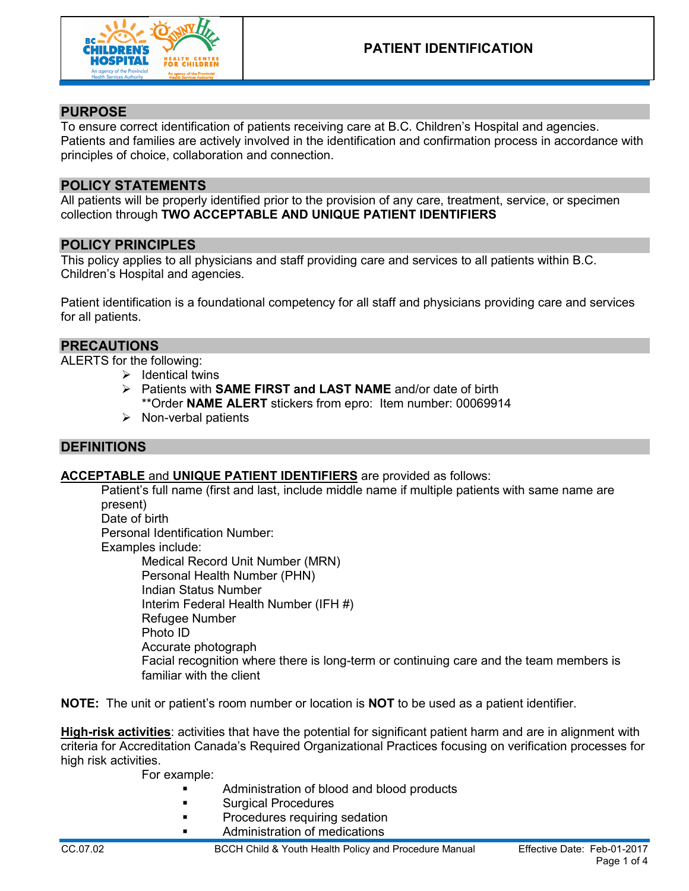

## **PURPOSE**

To ensure correct identification of patients receiving care at B.C. Children's Hospital and agencies. Patients and families are actively involved in the identification and confirmation process in accordance with principles of choice, collaboration and connection.

#### **POLICY STATEMENTS**

All patients will be properly identified prior to the provision of any care, treatment, service, or specimen collection through **TWO ACCEPTABLE AND UNIQUE PATIENT IDENTIFIERS**

#### **POLICY PRINCIPLES**

This policy applies to all physicians and staff providing care and services to all patients within B.C. Children's Hospital and agencies.

Patient identification is a foundational competency for all staff and physicians providing care and services for all patients.

#### **PRECAUTIONS**

ALERTS for the following:

- $\triangleright$  Identical twins
- Patients with **SAME FIRST and LAST NAME** and/or date of birth \*\*Order **NAME ALERT** stickers from epro: Item number: 00069914
- $\triangleright$  Non-verbal patients

## **DEFINITIONS**

#### **ACCEPTABLE** and **UNIQUE PATIENT IDENTIFIERS** are provided as follows:

Patient's full name (first and last, include middle name if multiple patients with same name are present) Date of birth Personal Identification Number: Examples include: Medical Record Unit Number (MRN) Personal Health Number (PHN) Indian Status Number Interim Federal Health Number (IFH #) Refugee Number Photo ID Accurate photograph Facial recognition where there is long-term or continuing care and the team members is familiar with the client

**NOTE:** The unit or patient's room number or location is **NOT** to be used as a patient identifier.

**High-risk activities**: activities that have the potential for significant patient harm and are in alignment with criteria for Accreditation Canada's Required Organizational Practices focusing on verification processes for high risk activities.

For example:

- Administration of blood and blood products
- **Surgical Procedures**
- **Procedures requiring sedation**
- Administration of medications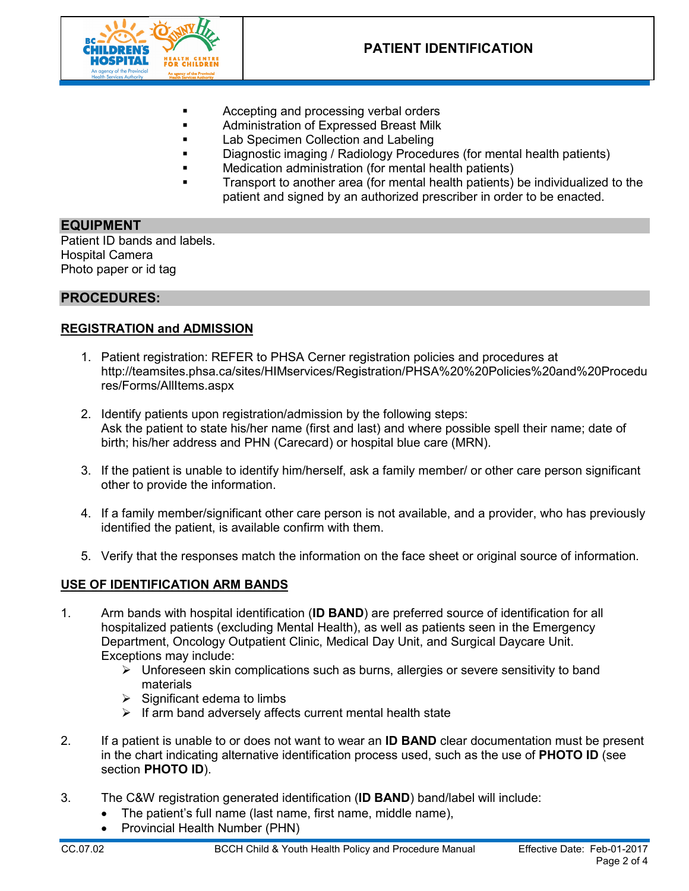

- **Accepting and processing verbal orders**
- **Administration of Expressed Breast Milk**
- **Lab Specimen Collection and Labeling**
- Diagnostic imaging / Radiology Procedures (for mental health patients)
- Medication administration (for mental health patients)
- Transport to another area (for mental health patients) be individualized to the patient and signed by an authorized prescriber in order to be enacted.

# **EQUIPMENT**

Patient ID bands and labels. Hospital Camera Photo paper or id tag

## **PROCEDURES:**

## **REGISTRATION and ADMISSION**

- 1. Patient registration: REFER to PHSA Cerner registration policies and procedures at http://teamsites.phsa.ca/sites/HIMservices/Registration/PHSA%20%20Policies%20and%20Procedu res/Forms/AllItems.aspx
- 2. Identify patients upon registration/admission by the following steps: Ask the patient to state his/her name (first and last) and where possible spell their name; date of birth; his/her address and PHN (Carecard) or hospital blue care (MRN).
- 3. If the patient is unable to identify him/herself, ask a family member/ or other care person significant other to provide the information.
- 4. If a family member/significant other care person is not available, and a provider, who has previously identified the patient, is available confirm with them.
- 5. Verify that the responses match the information on the face sheet or original source of information.

## **USE OF IDENTIFICATION ARM BANDS**

- 1. Arm bands with hospital identification (**ID BAND**) are preferred source of identification for all hospitalized patients (excluding Mental Health), as well as patients seen in the Emergency Department, Oncology Outpatient Clinic, Medical Day Unit, and Surgical Daycare Unit. Exceptions may include:
	- $\triangleright$  Unforeseen skin complications such as burns, allergies or severe sensitivity to band materials
	- $\triangleright$  Significant edema to limbs
	- $\triangleright$  If arm band adversely affects current mental health state
- 2. If a patient is unable to or does not want to wear an **ID BAND** clear documentation must be present in the chart indicating alternative identification process used, such as the use of **PHOTO ID** (see section **PHOTO ID**).
- 3. The C&W registration generated identification (**ID BAND**) band/label will include:
	- The patient's full name (last name, first name, middle name),
	- Provincial Health Number (PHN)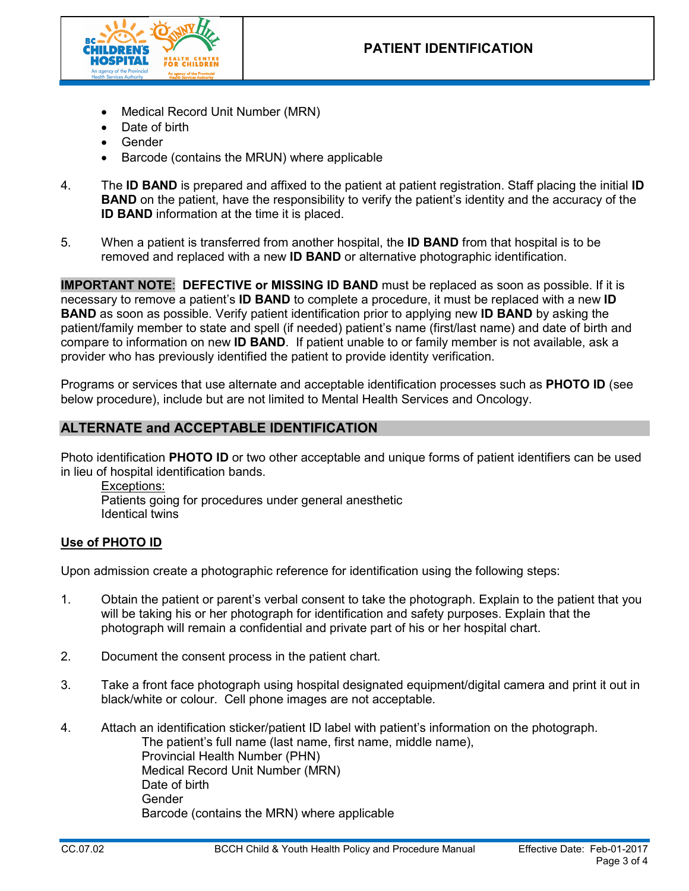

- Medical Record Unit Number (MRN)
- Date of birth
- **Gender**
- Barcode (contains the MRUN) where applicable
- 4. The **ID BAND** is prepared and affixed to the patient at patient registration. Staff placing the initial **ID BAND** on the patient, have the responsibility to verify the patient's identity and the accuracy of the **ID BAND** information at the time it is placed.
- 5. When a patient is transferred from another hospital, the **ID BAND** from that hospital is to be removed and replaced with a new **ID BAND** or alternative photographic identification.

**IMPORTANT NOTE: DEFECTIVE or MISSING ID BAND** must be replaced as soon as possible. If it is necessary to remove a patient's **ID BAND** to complete a procedure, it must be replaced with a new **ID BAND** as soon as possible. Verify patient identification prior to applying new **ID BAND** by asking the patient/family member to state and spell (if needed) patient's name (first/last name) and date of birth and compare to information on new **ID BAND**. If patient unable to or family member is not available, ask a provider who has previously identified the patient to provide identity verification.

Programs or services that use alternate and acceptable identification processes such as **PHOTO ID** (see below procedure), include but are not limited to Mental Health Services and Oncology.

# **ALTERNATE and ACCEPTABLE IDENTIFICATION**

Photo identification **PHOTO ID** or two other acceptable and unique forms of patient identifiers can be used in lieu of hospital identification bands.

Exceptions: Patients going for procedures under general anesthetic Identical twins

## **Use of PHOTO ID**

Upon admission create a photographic reference for identification using the following steps:

- 1. Obtain the patient or parent's verbal consent to take the photograph. Explain to the patient that you will be taking his or her photograph for identification and safety purposes. Explain that the photograph will remain a confidential and private part of his or her hospital chart.
- 2. Document the consent process in the patient chart.
- 3. Take a front face photograph using hospital designated equipment/digital camera and print it out in black/white or colour. Cell phone images are not acceptable.
- 4. Attach an identification sticker/patient ID label with patient's information on the photograph. The patient's full name (last name, first name, middle name), Provincial Health Number (PHN) Medical Record Unit Number (MRN) Date of birth Gender Barcode (contains the MRN) where applicable